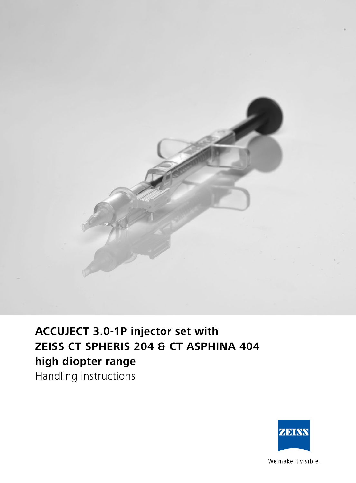

## **ACCUJECT 3.0-1P injector set with ZEISS CT SPHERIS 204 & CT ASPHINA 404 high diopter range**

Handling instructions



We make it visible.